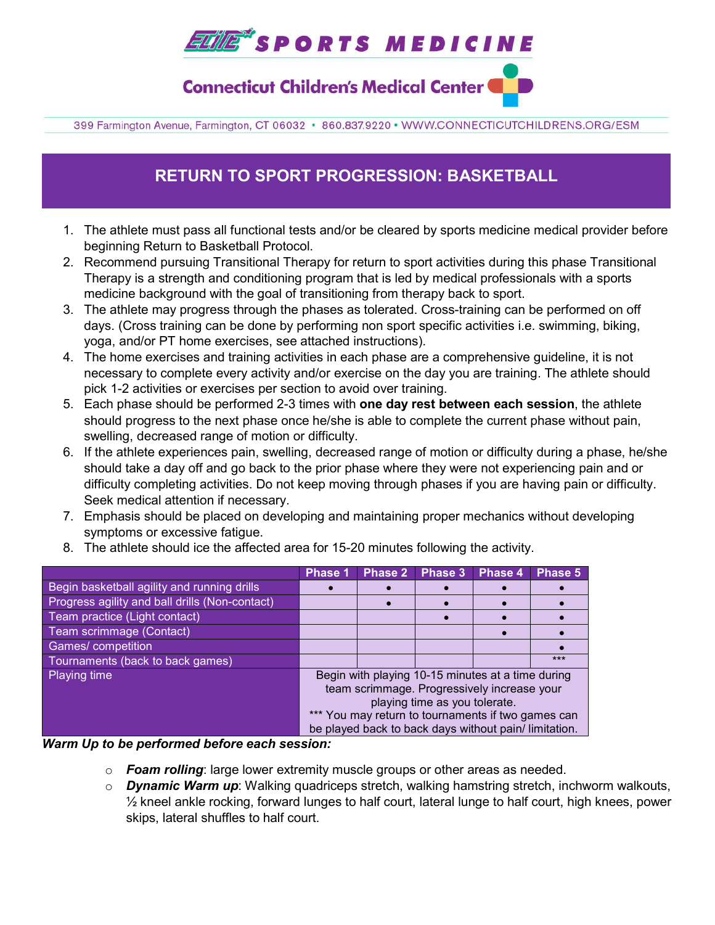# **EUTE\*** SPORTS MEDICINE

**Connecticut Children's Medical Center** 

399 Farmington Avenue, Farmington, CT 06032 · 860.837.9220 · WWW.CONNECTICUTCHILDRENS.ORG/ESM

## **RETURN TO SPORT PROGRESSION: BASKETBALL**

- 1. The athlete must pass all functional tests and/or be cleared by sports medicine medical provider before beginning Return to Basketball Protocol.
- 2. Recommend pursuing Transitional Therapy for return to sport activities during this phase Transitional Therapy is a strength and conditioning program that is led by medical professionals with a sports medicine background with the goal of transitioning from therapy back to sport.
- 3. The athlete may progress through the phases as tolerated. Cross-training can be performed on off days. (Cross training can be done by performing non sport specific activities i.e. swimming, biking, yoga, and/or PT home exercises, see attached instructions).
- 4. The home exercises and training activities in each phase are a comprehensive guideline, it is not necessary to complete every activity and/or exercise on the day you are training. The athlete should pick 1-2 activities or exercises per section to avoid over training.
- 5. Each phase should be performed 2-3 times with **one day rest between each session**, the athlete should progress to the next phase once he/she is able to complete the current phase without pain, swelling, decreased range of motion or difficulty.
- 6. If the athlete experiences pain, swelling, decreased range of motion or difficulty during a phase, he/she should take a day off and go back to the prior phase where they were not experiencing pain and or difficulty completing activities. Do not keep moving through phases if you are having pain or difficulty. Seek medical attention if necessary.
- 7. Emphasis should be placed on developing and maintaining proper mechanics without developing symptoms or excessive fatigue.
- 8. The athlete should ice the affected area for 15-20 minutes following the activity.

|                                                | Phase 1                                                                                                                                                                                                                                         | <b>Phase 2</b> | <b>Phase 3</b> | Phase 4 | Phase 5 |  |
|------------------------------------------------|-------------------------------------------------------------------------------------------------------------------------------------------------------------------------------------------------------------------------------------------------|----------------|----------------|---------|---------|--|
| Begin basketball agility and running drills    |                                                                                                                                                                                                                                                 |                |                |         |         |  |
| Progress agility and ball drills (Non-contact) |                                                                                                                                                                                                                                                 |                |                |         |         |  |
| Team practice (Light contact)                  |                                                                                                                                                                                                                                                 |                |                |         |         |  |
| Team scrimmage (Contact)                       |                                                                                                                                                                                                                                                 |                |                |         |         |  |
| Games/competition                              |                                                                                                                                                                                                                                                 |                |                |         |         |  |
| Tournaments (back to back games)               |                                                                                                                                                                                                                                                 |                |                |         | ***     |  |
| <b>Playing time</b>                            | Begin with playing 10-15 minutes at a time during<br>team scrimmage. Progressively increase your<br>playing time as you tolerate.<br>*** You may return to tournaments if two games can<br>be played back to back days without pain/limitation. |                |                |         |         |  |

#### *Warm Up to be performed before each session:*

- o *Foam rolling*: large lower extremity muscle groups or other areas as needed.
- o *Dynamic Warm up*: Walking quadriceps stretch, walking hamstring stretch, inchworm walkouts,  $\frac{1}{2}$  kneel ankle rocking, forward lunges to half court, lateral lunge to half court, high knees, power skips, lateral shuffles to half court.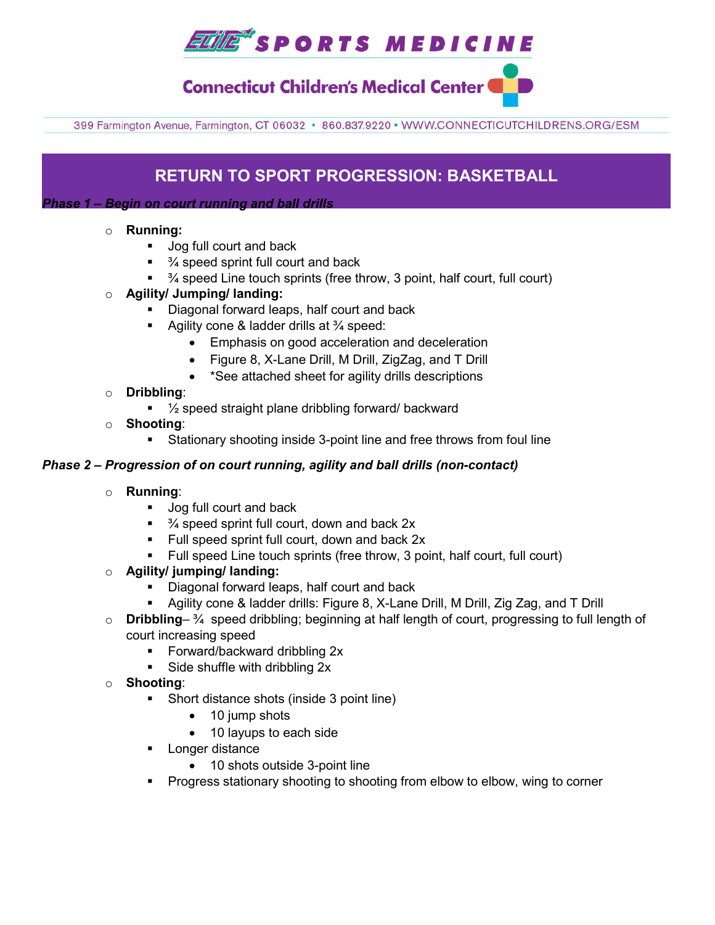## *ELME\*SPORTS MEDICINE*

### **Connecticut Children's Medical Center**

399 Farmington Avenue, Farmington, CT 06032 · 860.837.9220 · WWW.CONNECTICUTCHILDRENS.ORG/ESM

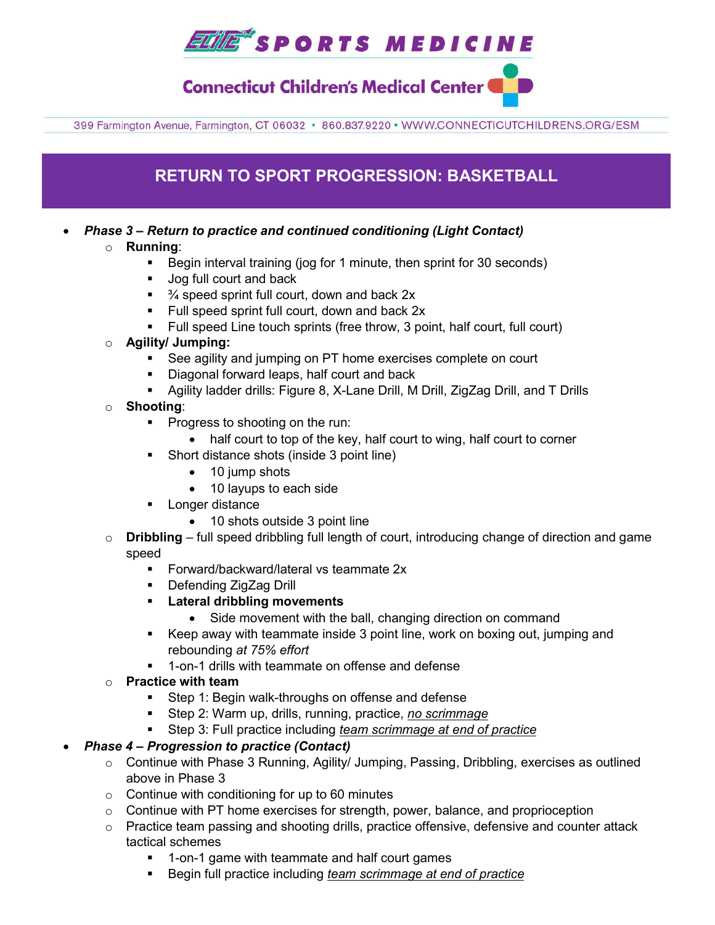

**Connecticut Children's Medical Center** 

399 Farmington Avenue, Farmington, CT 06032 · 860.837.9220 · WWW.CONNECTICUTCHILDRENS.ORG/ESM



- $\circ$  Continue with Phase 3 Running, Agility/ Jumping, Passing, Dribbling, exercises as outlined above in Phase 3
- $\circ$  Continue with conditioning for up to 60 minutes
- o Continue with PT home exercises for strength, power, balance, and proprioception
- $\circ$  Practice team passing and shooting drills, practice offensive, defensive and counter attack tactical schemes
	- 1-on-1 game with teammate and half court games
	- Begin full practice including *team scrimmage at end of practice*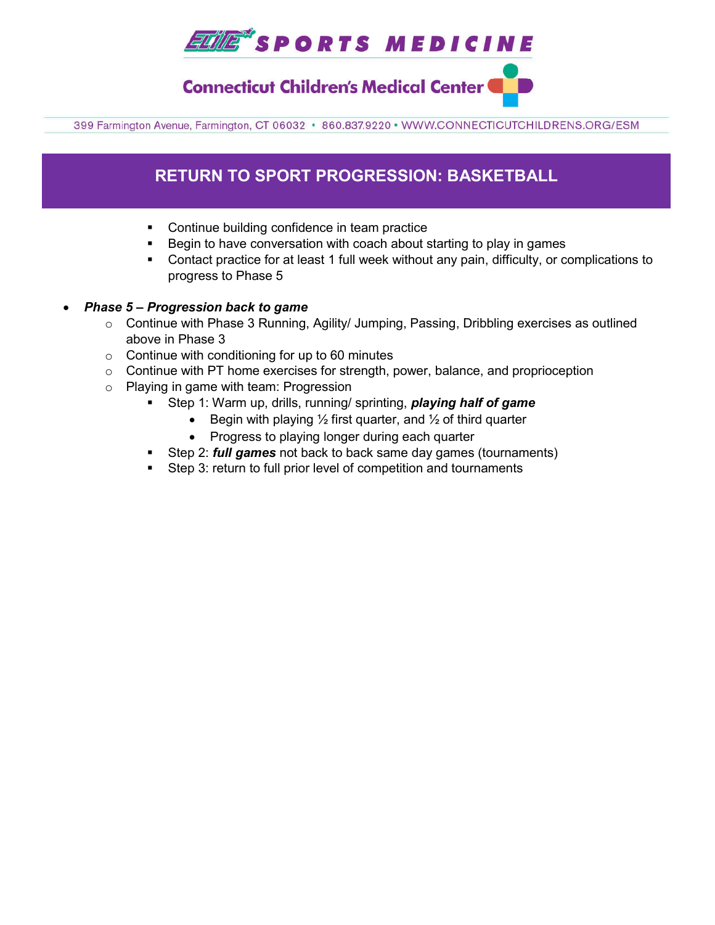## *ELME\*SPORTS MEDICINE*

**Connecticut Children's Medical Center** 

399 Farmington Avenue, Farmington, CT 06032 · 860.837.9220 · WWW.CONNECTICUTCHILDRENS.ORG/ESM

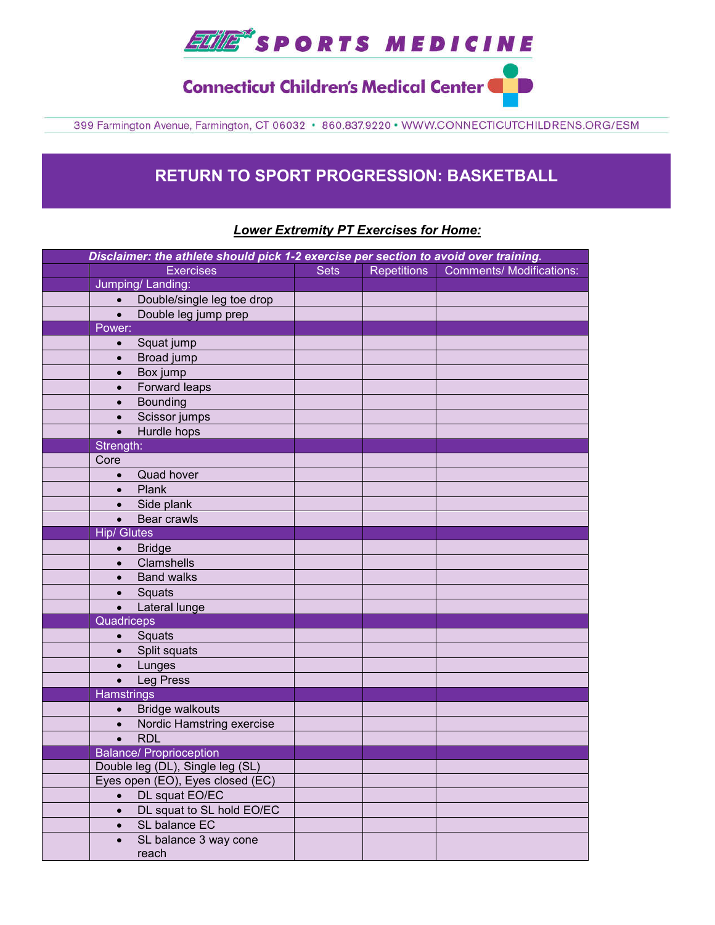

**Connecticut Children's Medical Center & B** 

399 Farmington Avenue, Farmington, CT 06032 · 860.837.9220 · WWW.CONNECTICUTCHILDRENS.ORG/ESM

### **RETURN TO SPORT PROGRESSION: BASKETBALL**

#### *Lower Extremity PT Exercises for Home:*

| Disclaimer: the athlete should pick 1-2 exercise per section to avoid over training. |             |                    |                                 |
|--------------------------------------------------------------------------------------|-------------|--------------------|---------------------------------|
| <b>Exercises</b>                                                                     | <b>Sets</b> | <b>Repetitions</b> | <b>Comments/ Modifications:</b> |
| Jumping/Landing:                                                                     |             |                    |                                 |
| Double/single leg toe drop<br>$\bullet$                                              |             |                    |                                 |
| Double leg jump prep<br>$\bullet$                                                    |             |                    |                                 |
| Power:                                                                               |             |                    |                                 |
| Squat jump<br>$\bullet$                                                              |             |                    |                                 |
| Broad jump<br>$\bullet$                                                              |             |                    |                                 |
| Box jump<br>$\bullet$                                                                |             |                    |                                 |
| Forward leaps<br>$\bullet$                                                           |             |                    |                                 |
| <b>Bounding</b><br>$\bullet$                                                         |             |                    |                                 |
| Scissor jumps<br>$\bullet$                                                           |             |                    |                                 |
| Hurdle hops<br>$\bullet$                                                             |             |                    |                                 |
| Strength:                                                                            |             |                    |                                 |
| Core                                                                                 |             |                    |                                 |
| Quad hover<br>$\bullet$                                                              |             |                    |                                 |
| Plank<br>$\bullet$                                                                   |             |                    |                                 |
| Side plank<br>$\bullet$                                                              |             |                    |                                 |
| Bear crawls<br>$\bullet$                                                             |             |                    |                                 |
| <b>Hip/ Glutes</b>                                                                   |             |                    |                                 |
| <b>Bridge</b><br>$\bullet$                                                           |             |                    |                                 |
| Clamshells<br>$\bullet$                                                              |             |                    |                                 |
| <b>Band walks</b><br>$\bullet$                                                       |             |                    |                                 |
| Squats<br>$\bullet$                                                                  |             |                    |                                 |
| Lateral lunge<br>$\bullet$                                                           |             |                    |                                 |
| Quadriceps                                                                           |             |                    |                                 |
| Squats<br>$\bullet$                                                                  |             |                    |                                 |
| Split squats<br>$\bullet$                                                            |             |                    |                                 |
| Lunges<br>$\bullet$                                                                  |             |                    |                                 |
| Leg Press<br>$\bullet$                                                               |             |                    |                                 |
| <b>Hamstrings</b>                                                                    |             |                    |                                 |
| <b>Bridge walkouts</b><br>$\bullet$                                                  |             |                    |                                 |
| Nordic Hamstring exercise<br>$\bullet$                                               |             |                    |                                 |
| <b>RDL</b><br>$\bullet$                                                              |             |                    |                                 |
| <b>Balance/ Proprioception</b>                                                       |             |                    |                                 |
| Double leg (DL), Single leg (SL)                                                     |             |                    |                                 |
| Eyes open (EO), Eyes closed (EC)                                                     |             |                    |                                 |
| DL squat EO/EC<br>$\bullet$                                                          |             |                    |                                 |
| DL squat to SL hold EO/EC<br>$\bullet$                                               |             |                    |                                 |
| SL balance EC<br>$\bullet$                                                           |             |                    |                                 |
| SL balance 3 way cone<br>$\bullet$                                                   |             |                    |                                 |
| reach                                                                                |             |                    |                                 |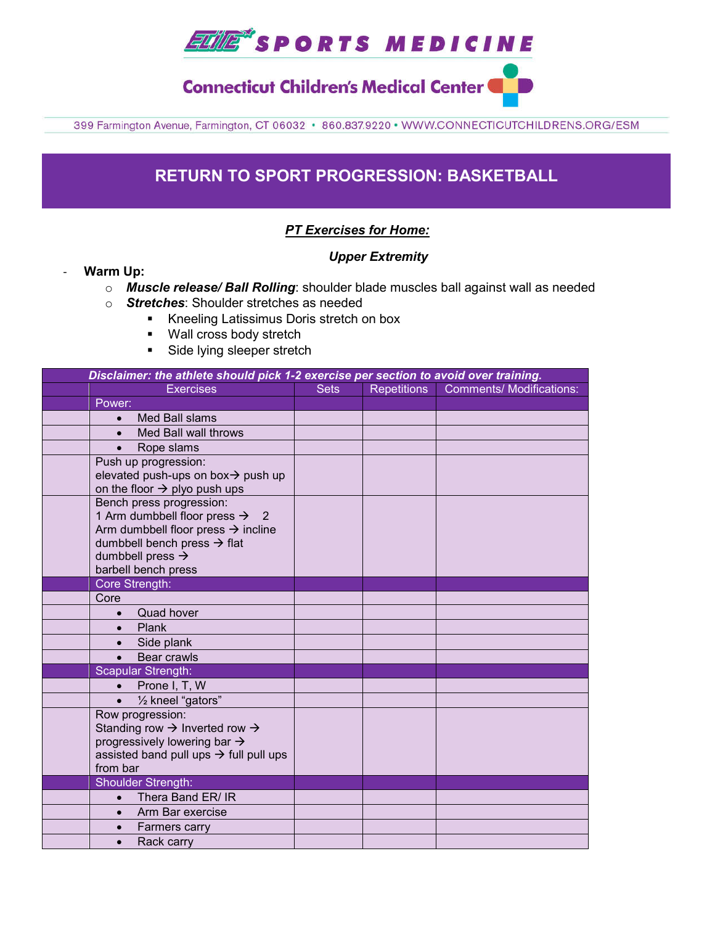

**Connecticut Children's Medical Center** 

399 Farmington Avenue, Farmington, CT 06032 · 860.837.9220 · WWW.CONNECTICUTCHILDRENS.ORG/ESM

### **RETURN TO SPORT PROGRESSION: BASKETBALL**

#### *PT Exercises for Home:*

#### *Upper Extremity*

- **Warm Up:**
	- o *Muscle release/ Ball Rolling*: shoulder blade muscles ball against wall as needed
	- o *Stretches*: Shoulder stretches as needed
		- Kneeling Latissimus Doris stretch on box
		- **Wall cross body stretch**
		- **Side lying sleeper stretch**

| Disclaimer: the athlete should pick 1-2 exercise per section to avoid over training. |                                                                                                                                                                                                                            |             |                    |                                 |  |  |  |
|--------------------------------------------------------------------------------------|----------------------------------------------------------------------------------------------------------------------------------------------------------------------------------------------------------------------------|-------------|--------------------|---------------------------------|--|--|--|
|                                                                                      | <b>Exercises</b>                                                                                                                                                                                                           | <b>Sets</b> | <b>Repetitions</b> | <b>Comments/ Modifications:</b> |  |  |  |
|                                                                                      | Power:                                                                                                                                                                                                                     |             |                    |                                 |  |  |  |
|                                                                                      | Med Ball slams<br>$\bullet$                                                                                                                                                                                                |             |                    |                                 |  |  |  |
|                                                                                      | Med Ball wall throws<br>$\bullet$                                                                                                                                                                                          |             |                    |                                 |  |  |  |
|                                                                                      | Rope slams                                                                                                                                                                                                                 |             |                    |                                 |  |  |  |
|                                                                                      | Push up progression:<br>elevated push-ups on box $\rightarrow$ push up<br>on the floor $\rightarrow$ plyo push ups                                                                                                         |             |                    |                                 |  |  |  |
|                                                                                      | Bench press progression:<br>1 Arm dumbbell floor press $\rightarrow$ 2<br>Arm dumbbell floor press $\rightarrow$ incline<br>dumbbell bench press $\rightarrow$ flat<br>dumbbell press $\rightarrow$<br>barbell bench press |             |                    |                                 |  |  |  |
|                                                                                      | Core Strength:                                                                                                                                                                                                             |             |                    |                                 |  |  |  |
|                                                                                      | Core                                                                                                                                                                                                                       |             |                    |                                 |  |  |  |
|                                                                                      | Quad hover<br>$\bullet$                                                                                                                                                                                                    |             |                    |                                 |  |  |  |
|                                                                                      | Plank<br>$\bullet$                                                                                                                                                                                                         |             |                    |                                 |  |  |  |
|                                                                                      | Side plank<br>$\bullet$                                                                                                                                                                                                    |             |                    |                                 |  |  |  |
|                                                                                      | <b>Bear crawls</b>                                                                                                                                                                                                         |             |                    |                                 |  |  |  |
|                                                                                      | Scapular Strength:                                                                                                                                                                                                         |             |                    |                                 |  |  |  |
|                                                                                      | Prone I, T, W<br>$\bullet$                                                                                                                                                                                                 |             |                    |                                 |  |  |  |
|                                                                                      | 1/2 kneel "gators"<br>$\bullet$                                                                                                                                                                                            |             |                    |                                 |  |  |  |
|                                                                                      | Row progression:<br>Standing row $\rightarrow$ Inverted row $\rightarrow$<br>progressively lowering bar $\rightarrow$<br>assisted band pull ups $\rightarrow$ full pull ups<br>from bar                                    |             |                    |                                 |  |  |  |
|                                                                                      | <b>Shoulder Strength:</b>                                                                                                                                                                                                  |             |                    |                                 |  |  |  |
|                                                                                      | Thera Band ER/ IR                                                                                                                                                                                                          |             |                    |                                 |  |  |  |
|                                                                                      | Arm Bar exercise                                                                                                                                                                                                           |             |                    |                                 |  |  |  |
|                                                                                      | Farmers carry<br>$\bullet$                                                                                                                                                                                                 |             |                    |                                 |  |  |  |
|                                                                                      | Rack carry<br>$\bullet$                                                                                                                                                                                                    |             |                    |                                 |  |  |  |